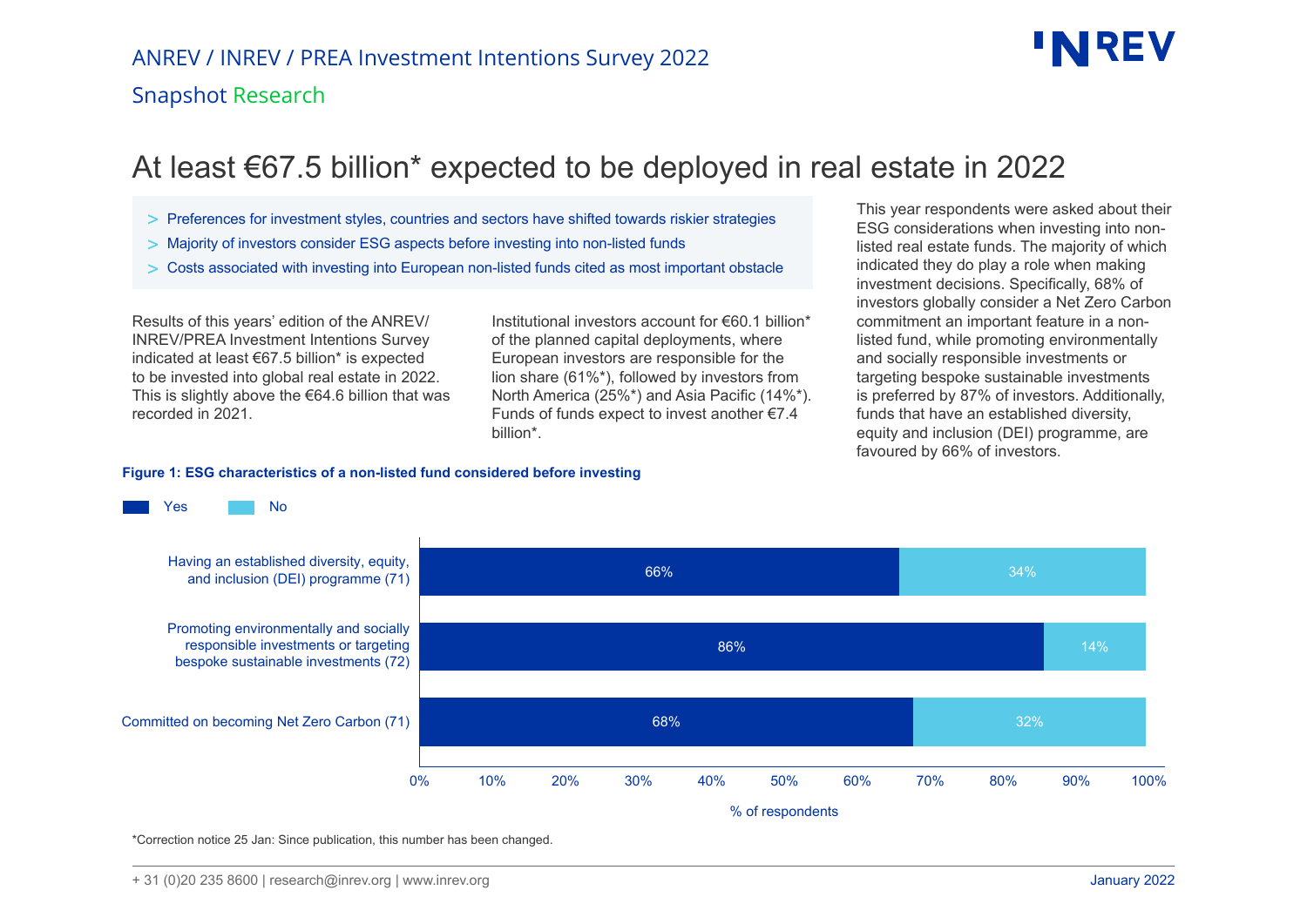

Snapshot Research

## At least €67.5 billion\* expected to be deployed in real estate in 2022

- > Preferences for investment styles, countries and sectors have shifted towards riskier strategies
- > Majority of investors consider ESG aspects before investing into non-listed funds
- > Costs associated with investing into European non-listed funds cited as most important obstacle

Results of this years' edition of the ANREV/ INREV/PREA Investment Intentions Survey indicated at least €67.5 billion\* is expected to be invested into global real estate in 2022. This is slightly above the  $€64.6$  billion that was recorded in 2021.

Institutional investors account for €60.1 billion\* of the planned capital deployments, where European investors are responsible for the lion share (61%\*), followed by investors from North America (25%\*) and Asia Pacific (14%\*). Funds of funds expect to invest another €7.4 billion\*.

## **Figure 1: ESG characteristics of a non-listed fund considered before investing**

This year respondents were asked about their ESG considerations when investing into nonlisted real estate funds. The majority of which indicated they do play a role when making investment decisions. Specifically, 68% of investors globally consider a Net Zero Carbon commitment an important feature in a nonlisted fund, while promoting environmentally and socially responsible investments or targeting bespoke sustainable investments is preferred by 87% of investors. Additionally, funds that have an established diversity, equity and inclusion (DEI) programme, are favoured by 66% of investors.



\*Correction notice 25 Jan: Since publication, this number has been changed.